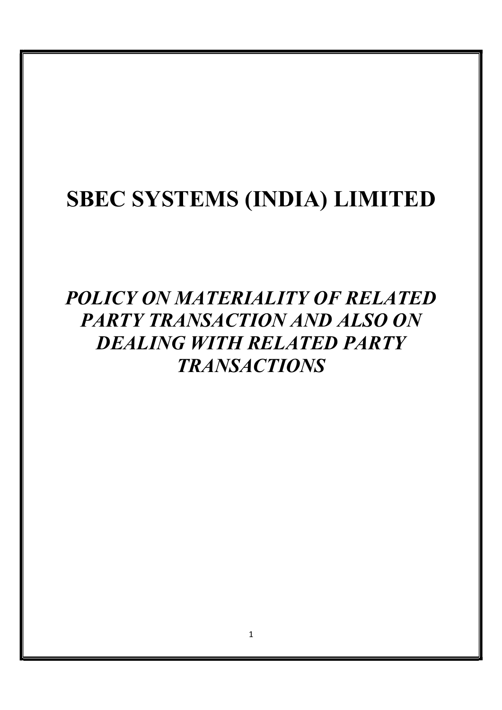# SBEC SYSTEMS (INDIA) LIMITED

## POLICY ON MATERIALITY OF RELATED PARTY TRANSACTION AND ALSO ON DEALING WITH RELATED PARTY TRANSACTIONS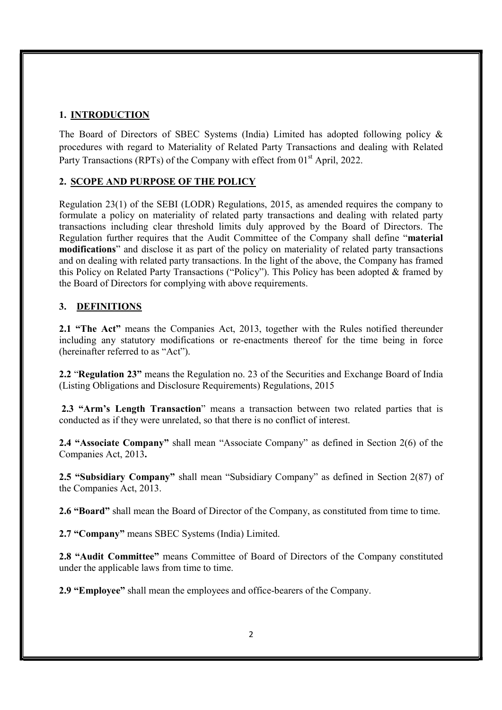## 1. INTRODUCTION

The Board of Directors of SBEC Systems (India) Limited has adopted following policy & procedures with regard to Materiality of Related Party Transactions and dealing with Related Party Transactions (RPTs) of the Company with effect from 01<sup>st</sup> April, 2022.

## 2. SCOPE AND PURPOSE OF THE POLICY

Regulation 23(1) of the SEBI (LODR) Regulations, 2015, as amended requires the company to formulate a policy on materiality of related party transactions and dealing with related party transactions including clear threshold limits duly approved by the Board of Directors. The Regulation further requires that the Audit Committee of the Company shall define "material modifications" and disclose it as part of the policy on materiality of related party transactions and on dealing with related party transactions. In the light of the above, the Company has framed this Policy on Related Party Transactions ("Policy"). This Policy has been adopted & framed by the Board of Directors for complying with above requirements.

## 3. DEFINITIONS

2.1 "The Act" means the Companies Act, 2013, together with the Rules notified thereunder including any statutory modifications or re-enactments thereof for the time being in force (hereinafter referred to as "Act").

2.2 "Regulation 23" means the Regulation no. 23 of the Securities and Exchange Board of India (Listing Obligations and Disclosure Requirements) Regulations, 2015

2.3 "Arm's Length Transaction" means a transaction between two related parties that is conducted as if they were unrelated, so that there is no conflict of interest.

2.4 "Associate Company" shall mean "Associate Company" as defined in Section 2(6) of the Companies Act, 2013.

2.5 "Subsidiary Company" shall mean "Subsidiary Company" as defined in Section 2(87) of the Companies Act, 2013.

2.6 "Board" shall mean the Board of Director of the Company, as constituted from time to time.

2.7 "Company" means SBEC Systems (India) Limited.

2.8 "Audit Committee" means Committee of Board of Directors of the Company constituted under the applicable laws from time to time.

2.9 "Employee" shall mean the employees and office-bearers of the Company.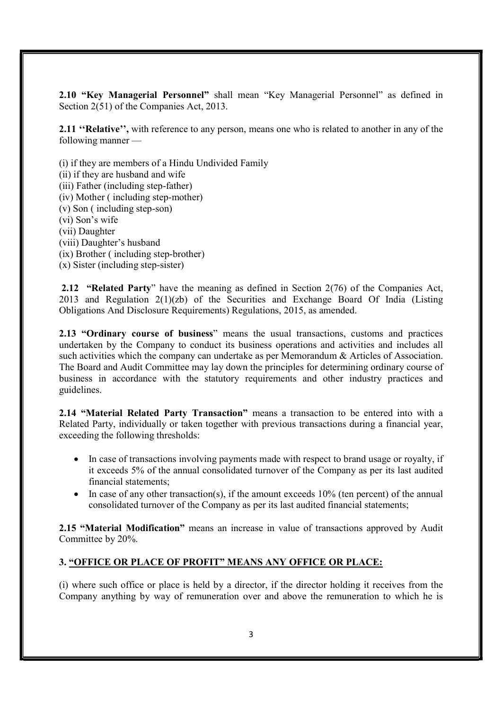2.10 "Key Managerial Personnel" shall mean "Key Managerial Personnel" as defined in Section 2(51) of the Companies Act, 2013.

2.11 "Relative", with reference to any person, means one who is related to another in any of the following manner —

(i) if they are members of a Hindu Undivided Family

(ii) if they are husband and wife

(iii) Father (including step-father)

(iv) Mother ( including step-mother)

(v) Son ( including step-son)

(vi) Son's wife

(vii) Daughter

(viii) Daughter's husband

(ix) Brother ( including step-brother)

(x) Sister (including step-sister)

 2.12 "Related Party" have the meaning as defined in Section 2(76) of the Companies Act, 2013 and Regulation 2(1)(zb) of the Securities and Exchange Board Of India (Listing Obligations And Disclosure Requirements) Regulations, 2015, as amended.

2.13 "Ordinary course of business" means the usual transactions, customs and practices undertaken by the Company to conduct its business operations and activities and includes all such activities which the company can undertake as per Memorandum & Articles of Association. The Board and Audit Committee may lay down the principles for determining ordinary course of business in accordance with the statutory requirements and other industry practices and guidelines.

2.14 "Material Related Party Transaction" means a transaction to be entered into with a Related Party, individually or taken together with previous transactions during a financial year, exceeding the following thresholds:

- In case of transactions involving payments made with respect to brand usage or royalty, if it exceeds 5% of the annual consolidated turnover of the Company as per its last audited financial statements;
- In case of any other transaction(s), if the amount exceeds  $10\%$  (ten percent) of the annual consolidated turnover of the Company as per its last audited financial statements;

2.15 "Material Modification" means an increase in value of transactions approved by Audit Committee by 20%.

## 3. "OFFICE OR PLACE OF PROFIT" MEANS ANY OFFICE OR PLACE:

(i) where such office or place is held by a director, if the director holding it receives from the Company anything by way of remuneration over and above the remuneration to which he is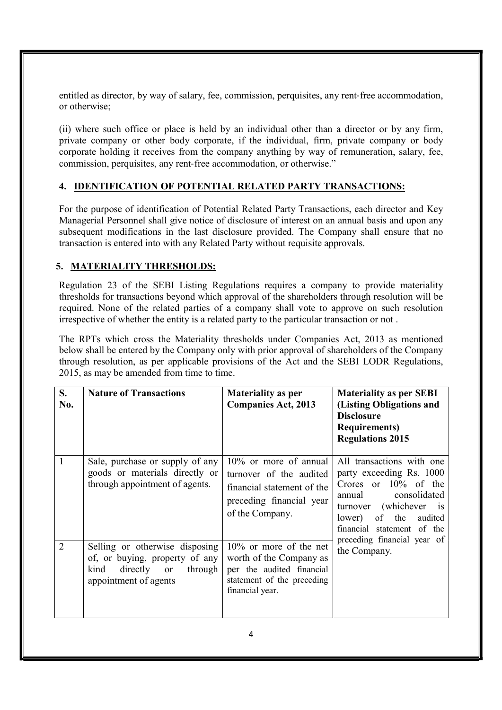entitled as director, by way of salary, fee, commission, perquisites, any rent‐free accommodation, or otherwise;

(ii) where such office or place is held by an individual other than a director or by any firm, private company or other body corporate, if the individual, firm, private company or body corporate holding it receives from the company anything by way of remuneration, salary, fee, commission, perquisites, any rent‐free accommodation, or otherwise."

## 4. IDENTIFICATION OF POTENTIAL RELATED PARTY TRANSACTIONS:

For the purpose of identification of Potential Related Party Transactions, each director and Key Managerial Personnel shall give notice of disclosure of interest on an annual basis and upon any subsequent modifications in the last disclosure provided. The Company shall ensure that no transaction is entered into with any Related Party without requisite approvals.

## 5. MATERIALITY THRESHOLDS:

Regulation 23 of the SEBI Listing Regulations requires a company to provide materiality thresholds for transactions beyond which approval of the shareholders through resolution will be required. None of the related parties of a company shall vote to approve on such resolution irrespective of whether the entity is a related party to the particular transaction or not .

The RPTs which cross the Materiality thresholds under Companies Act, 2013 as mentioned below shall be entered by the Company only with prior approval of shareholders of the Company through resolution, as per applicable provisions of the Act and the SEBI LODR Regulations, 2015, as may be amended from time to time.

| S.<br>No.      | <b>Nature of Transactions</b>                                                                                                 | <b>Materiality as per</b><br><b>Companies Act, 2013</b>                                                                            | <b>Materiality as per SEBI</b><br>(Listing Obligations and<br><b>Disclosure</b><br><b>Requirements</b> )<br><b>Regulations 2015</b>                                                                                     |
|----------------|-------------------------------------------------------------------------------------------------------------------------------|------------------------------------------------------------------------------------------------------------------------------------|-------------------------------------------------------------------------------------------------------------------------------------------------------------------------------------------------------------------------|
| 1              | Sale, purchase or supply of any<br>goods or materials directly or<br>through appointment of agents.                           | $10\%$ or more of annual<br>turnover of the audited<br>financial statement of the<br>preceding financial year<br>of the Company.   | All transactions with one<br>party exceeding Rs. 1000<br>Crores or $10\%$ of the<br>consolidated<br>annual<br>(whichever)<br>$\overline{1}$<br>turnover<br>of<br>the<br>lower)<br>audited<br>financial statement of the |
| $\overline{2}$ | Selling or otherwise disposing<br>of, or buying, property of any<br>directly or<br>kind<br>through  <br>appointment of agents | $10\%$ or more of the net<br>worth of the Company as<br>per the audited financial<br>statement of the preceding<br>financial year. | preceding financial year of<br>the Company.                                                                                                                                                                             |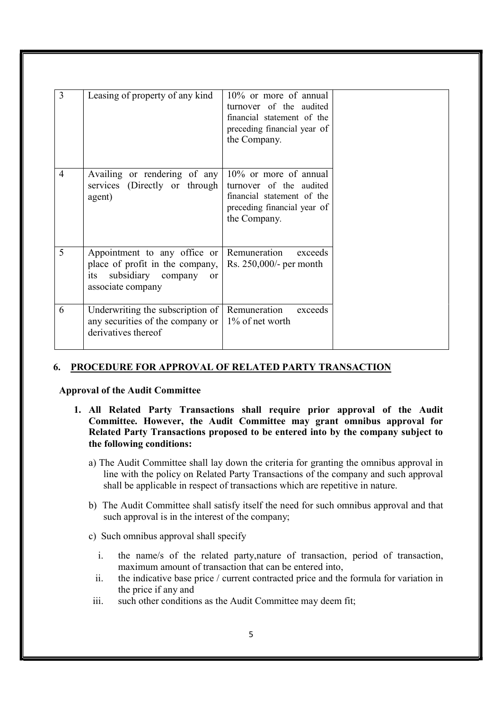| $\overline{3}$ | Leasing of property of any kind                                                                                                    | 10% or more of annual<br>turnover of the audited<br>financial statement of the<br>preceding financial year of<br>the Company.    |
|----------------|------------------------------------------------------------------------------------------------------------------------------------|----------------------------------------------------------------------------------------------------------------------------------|
| $\overline{4}$ | Availing or rendering of any<br>services (Directly or through<br>agent)                                                            | $10\%$ or more of annual<br>turnover of the audited<br>financial statement of the<br>preceding financial year of<br>the Company. |
| 5              | Appointment to any office or<br>place of profit in the company,<br>its subsidiary company<br><sub>or</sub><br>associate company    | Remuneration<br>exceeds<br>Rs. 250,000/- per month                                                                               |
| 6              | Underwriting the subscription of   Remuneration<br>any securities of the company or $\vert$ 1% of net worth<br>derivatives thereof | exceeds                                                                                                                          |

## 6. PROCEDURE FOR APPROVAL OF RELATED PARTY TRANSACTION

Approval of the Audit Committee

- 1. All Related Party Transactions shall require prior approval of the Audit Committee. However, the Audit Committee may grant omnibus approval for Related Party Transactions proposed to be entered into by the company subject to the following conditions:
	- a) The Audit Committee shall lay down the criteria for granting the omnibus approval in line with the policy on Related Party Transactions of the company and such approval shall be applicable in respect of transactions which are repetitive in nature.
	- b) The Audit Committee shall satisfy itself the need for such omnibus approval and that such approval is in the interest of the company;
	- c) Such omnibus approval shall specify
		- i. the name/s of the related party,nature of transaction, period of transaction, maximum amount of transaction that can be entered into,
		- ii. the indicative base price / current contracted price and the formula for variation in the price if any and
	- iii. such other conditions as the Audit Committee may deem fit;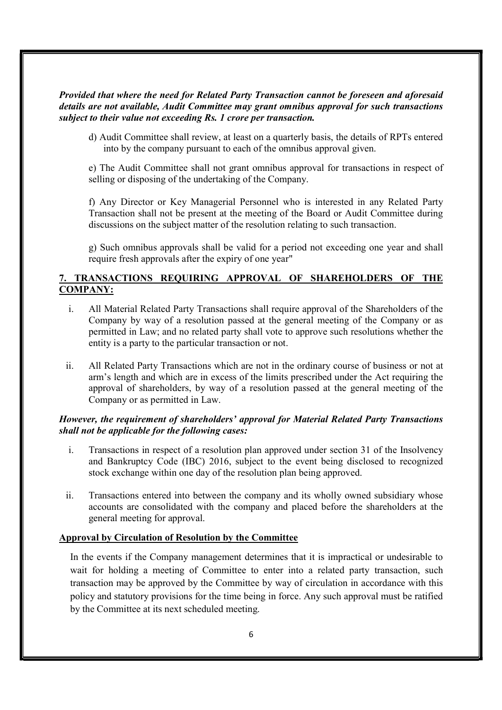#### Provided that where the need for Related Party Transaction cannot be foreseen and aforesaid details are not available, Audit Committee may grant omnibus approval for such transactions subject to their value not exceeding Rs. 1 crore per transaction.

d) Audit Committee shall review, at least on a quarterly basis, the details of RPTs entered into by the company pursuant to each of the omnibus approval given.

e) The Audit Committee shall not grant omnibus approval for transactions in respect of selling or disposing of the undertaking of the Company.

f) Any Director or Key Managerial Personnel who is interested in any Related Party Transaction shall not be present at the meeting of the Board or Audit Committee during discussions on the subject matter of the resolution relating to such transaction.

g) Such omnibus approvals shall be valid for a period not exceeding one year and shall require fresh approvals after the expiry of one year"

#### 7. TRANSACTIONS REQUIRING APPROVAL OF SHAREHOLDERS OF THE COMPANY:

- i. All Material Related Party Transactions shall require approval of the Shareholders of the Company by way of a resolution passed at the general meeting of the Company or as permitted in Law; and no related party shall vote to approve such resolutions whether the entity is a party to the particular transaction or not.
- ii. All Related Party Transactions which are not in the ordinary course of business or not at arm's length and which are in excess of the limits prescribed under the Act requiring the approval of shareholders, by way of a resolution passed at the general meeting of the Company or as permitted in Law.

#### However, the requirement of shareholders' approval for Material Related Party Transactions shall not be applicable for the following cases:

- i. Transactions in respect of a resolution plan approved under section 31 of the Insolvency and Bankruptcy Code (IBC) 2016, subject to the event being disclosed to recognized stock exchange within one day of the resolution plan being approved.
- ii. Transactions entered into between the company and its wholly owned subsidiary whose accounts are consolidated with the company and placed before the shareholders at the general meeting for approval.

#### Approval by Circulation of Resolution by the Committee

In the events if the Company management determines that it is impractical or undesirable to wait for holding a meeting of Committee to enter into a related party transaction, such transaction may be approved by the Committee by way of circulation in accordance with this policy and statutory provisions for the time being in force. Any such approval must be ratified by the Committee at its next scheduled meeting.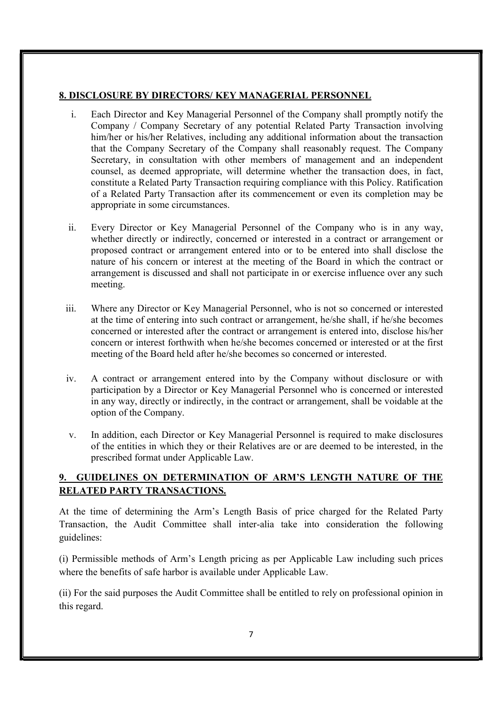#### 8. DISCLOSURE BY DIRECTORS/ KEY MANAGERIAL PERSONNEL

- i. Each Director and Key Managerial Personnel of the Company shall promptly notify the Company / Company Secretary of any potential Related Party Transaction involving him/her or his/her Relatives, including any additional information about the transaction that the Company Secretary of the Company shall reasonably request. The Company Secretary, in consultation with other members of management and an independent counsel, as deemed appropriate, will determine whether the transaction does, in fact, constitute a Related Party Transaction requiring compliance with this Policy. Ratification of a Related Party Transaction after its commencement or even its completion may be appropriate in some circumstances.
- ii. Every Director or Key Managerial Personnel of the Company who is in any way, whether directly or indirectly, concerned or interested in a contract or arrangement or proposed contract or arrangement entered into or to be entered into shall disclose the nature of his concern or interest at the meeting of the Board in which the contract or arrangement is discussed and shall not participate in or exercise influence over any such meeting.
- iii. Where any Director or Key Managerial Personnel, who is not so concerned or interested at the time of entering into such contract or arrangement, he/she shall, if he/she becomes concerned or interested after the contract or arrangement is entered into, disclose his/her concern or interest forthwith when he/she becomes concerned or interested or at the first meeting of the Board held after he/she becomes so concerned or interested.
- iv. A contract or arrangement entered into by the Company without disclosure or with participation by a Director or Key Managerial Personnel who is concerned or interested in any way, directly or indirectly, in the contract or arrangement, shall be voidable at the option of the Company.
- v. In addition, each Director or Key Managerial Personnel is required to make disclosures of the entities in which they or their Relatives are or are deemed to be interested, in the prescribed format under Applicable Law.

## 9. GUIDELINES ON DETERMINATION OF ARM'S LENGTH NATURE OF THE RELATED PARTY TRANSACTIONS.

At the time of determining the Arm's Length Basis of price charged for the Related Party Transaction, the Audit Committee shall inter-alia take into consideration the following guidelines:

(i) Permissible methods of Arm's Length pricing as per Applicable Law including such prices where the benefits of safe harbor is available under Applicable Law.

(ii) For the said purposes the Audit Committee shall be entitled to rely on professional opinion in this regard.